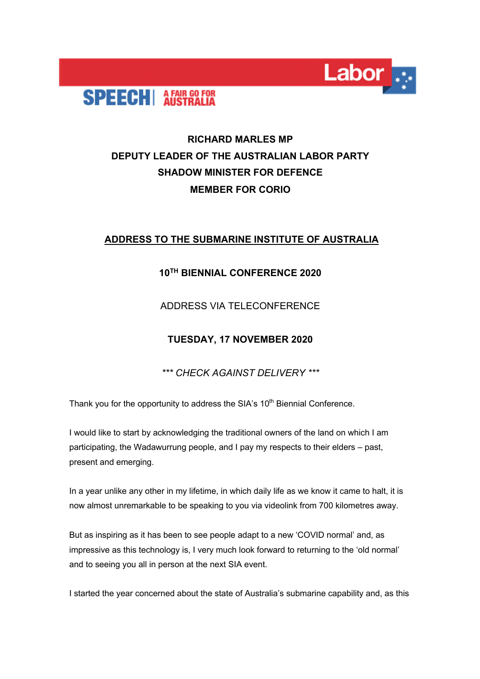

# **RICHARD MARLES MP DEPUTY LEADER OF THE AUSTRALIAN LABOR PARTY SHADOW MINISTER FOR DEFENCE MEMBER FOR CORIO**

**Labor** 

# **ADDRESS TO THE SUBMARINE INSTITUTE OF AUSTRALIA**

### **10TH BIENNIAL CONFERENCE 2020**

### ADDRESS VIA TELECONFERENCE

# **TUESDAY, 17 NOVEMBER 2020**

*\*\*\* CHECK AGAINST DELIVERY \*\*\**

Thank you for the opportunity to address the SIA's 10<sup>th</sup> Biennial Conference.

I would like to start by acknowledging the traditional owners of the land on which I am participating, the Wadawurrung people, and I pay my respects to their elders – past, present and emerging.

In a year unlike any other in my lifetime, in which daily life as we know it came to halt, it is now almost unremarkable to be speaking to you via videolink from 700 kilometres away.

But as inspiring as it has been to see people adapt to a new 'COVID normal' and, as impressive as this technology is, I very much look forward to returning to the 'old normal' and to seeing you all in person at the next SIA event.

I started the year concerned about the state of Australia's submarine capability and, as this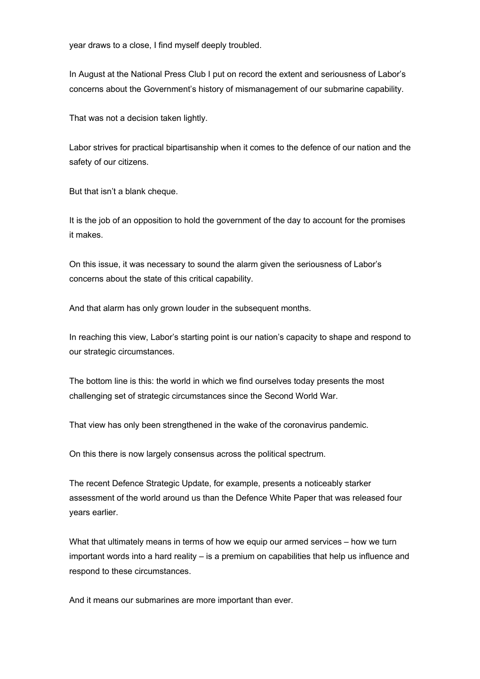year draws to a close, I find myself deeply troubled.

In August at the National Press Club I put on record the extent and seriousness of Labor's concerns about the Government's history of mismanagement of our submarine capability.

That was not a decision taken lightly.

Labor strives for practical bipartisanship when it comes to the defence of our nation and the safety of our citizens.

But that isn't a blank cheque.

It is the job of an opposition to hold the government of the day to account for the promises it makes.

On this issue, it was necessary to sound the alarm given the seriousness of Labor's concerns about the state of this critical capability.

And that alarm has only grown louder in the subsequent months.

In reaching this view, Labor's starting point is our nation's capacity to shape and respond to our strategic circumstances.

The bottom line is this: the world in which we find ourselves today presents the most challenging set of strategic circumstances since the Second World War.

That view has only been strengthened in the wake of the coronavirus pandemic.

On this there is now largely consensus across the political spectrum.

The recent Defence Strategic Update, for example, presents a noticeably starker assessment of the world around us than the Defence White Paper that was released four years earlier.

What that ultimately means in terms of how we equip our armed services – how we turn important words into a hard reality – is a premium on capabilities that help us influence and respond to these circumstances.

And it means our submarines are more important than ever.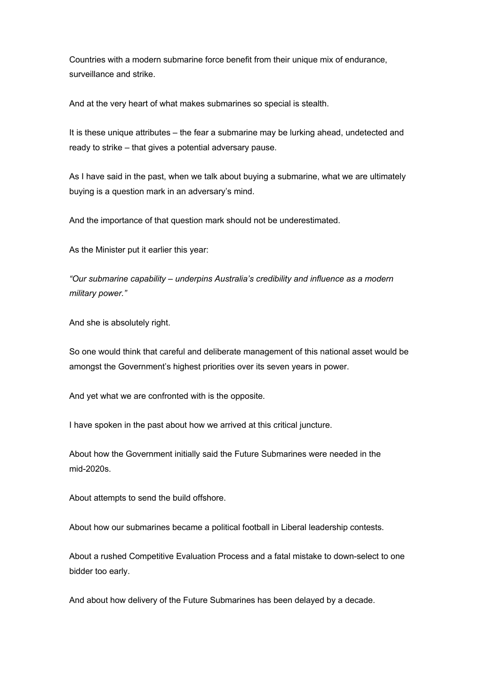Countries with a modern submarine force benefit from their unique mix of endurance, surveillance and strike.

And at the very heart of what makes submarines so special is stealth.

It is these unique attributes – the fear a submarine may be lurking ahead, undetected and ready to strike – that gives a potential adversary pause.

As I have said in the past, when we talk about buying a submarine, what we are ultimately buying is a question mark in an adversary's mind.

And the importance of that question mark should not be underestimated.

As the Minister put it earlier this year:

*"Our submarine capability – underpins Australia's credibility and influence as a modern military power."*

And she is absolutely right.

So one would think that careful and deliberate management of this national asset would be amongst the Government's highest priorities over its seven years in power.

And yet what we are confronted with is the opposite.

I have spoken in the past about how we arrived at this critical juncture.

About how the Government initially said the Future Submarines were needed in the mid-2020s.

About attempts to send the build offshore.

About how our submarines became a political football in Liberal leadership contests.

About a rushed Competitive Evaluation Process and a fatal mistake to down-select to one bidder too early.

And about how delivery of the Future Submarines has been delayed by a decade.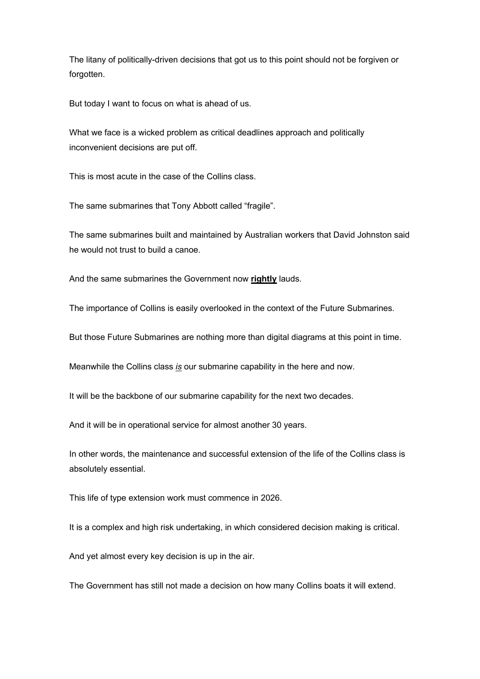The litany of politically-driven decisions that got us to this point should not be forgiven or forgotten.

But today I want to focus on what is ahead of us.

What we face is a wicked problem as critical deadlines approach and politically inconvenient decisions are put off.

This is most acute in the case of the Collins class.

The same submarines that Tony Abbott called "fragile".

The same submarines built and maintained by Australian workers that David Johnston said he would not trust to build a canoe.

And the same submarines the Government now **rightly** lauds.

The importance of Collins is easily overlooked in the context of the Future Submarines.

But those Future Submarines are nothing more than digital diagrams at this point in time.

Meanwhile the Collins class *is* our submarine capability in the here and now.

It will be the backbone of our submarine capability for the next two decades.

And it will be in operational service for almost another 30 years.

In other words, the maintenance and successful extension of the life of the Collins class is absolutely essential.

This life of type extension work must commence in 2026.

It is a complex and high risk undertaking, in which considered decision making is critical.

And yet almost every key decision is up in the air.

The Government has still not made a decision on how many Collins boats it will extend.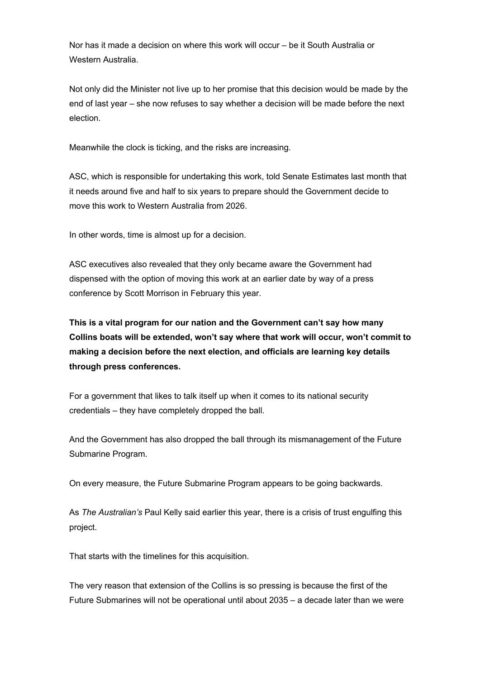Nor has it made a decision on where this work will occur – be it South Australia or Western Australia.

Not only did the Minister not live up to her promise that this decision would be made by the end of last year – she now refuses to say whether a decision will be made before the next election.

Meanwhile the clock is ticking, and the risks are increasing.

ASC, which is responsible for undertaking this work, told Senate Estimates last month that it needs around five and half to six years to prepare should the Government decide to move this work to Western Australia from 2026.

In other words, time is almost up for a decision.

ASC executives also revealed that they only became aware the Government had dispensed with the option of moving this work at an earlier date by way of a press conference by Scott Morrison in February this year.

**This is a vital program for our nation and the Government can't say how many Collins boats will be extended, won't say where that work will occur, won't commit to making a decision before the next election, and officials are learning key details through press conferences.**

For a government that likes to talk itself up when it comes to its national security credentials – they have completely dropped the ball.

And the Government has also dropped the ball through its mismanagement of the Future Submarine Program.

On every measure, the Future Submarine Program appears to be going backwards.

As *The Australian's* Paul Kelly said earlier this year, there is a crisis of trust engulfing this project.

That starts with the timelines for this acquisition.

The very reason that extension of the Collins is so pressing is because the first of the Future Submarines will not be operational until about 2035 – a decade later than we were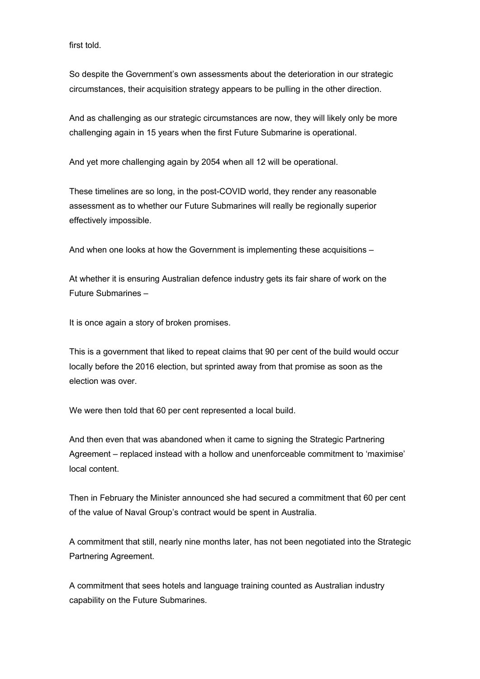first told.

So despite the Government's own assessments about the deterioration in our strategic circumstances, their acquisition strategy appears to be pulling in the other direction.

And as challenging as our strategic circumstances are now, they will likely only be more challenging again in 15 years when the first Future Submarine is operational.

And yet more challenging again by 2054 when all 12 will be operational.

These timelines are so long, in the post-COVID world, they render any reasonable assessment as to whether our Future Submarines will really be regionally superior effectively impossible.

And when one looks at how the Government is implementing these acquisitions –

At whether it is ensuring Australian defence industry gets its fair share of work on the Future Submarines –

It is once again a story of broken promises.

This is a government that liked to repeat claims that 90 per cent of the build would occur locally before the 2016 election, but sprinted away from that promise as soon as the election was over.

We were then told that 60 per cent represented a local build.

And then even that was abandoned when it came to signing the Strategic Partnering Agreement – replaced instead with a hollow and unenforceable commitment to 'maximise' local content.

Then in February the Minister announced she had secured a commitment that 60 per cent of the value of Naval Group's contract would be spent in Australia.

A commitment that still, nearly nine months later, has not been negotiated into the Strategic Partnering Agreement.

A commitment that sees hotels and language training counted as Australian industry capability on the Future Submarines.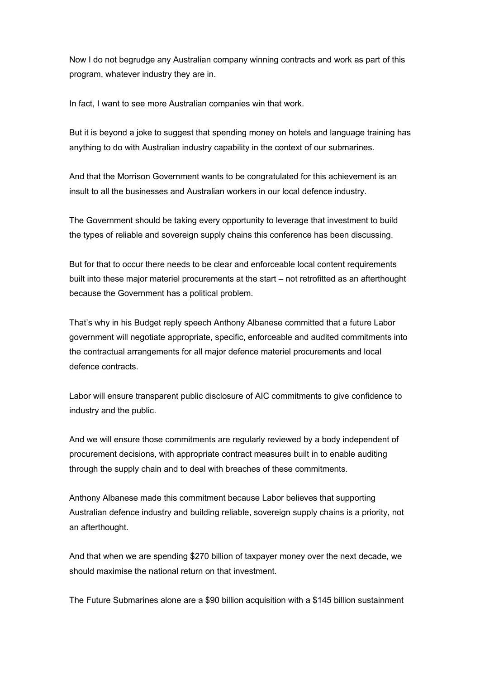Now I do not begrudge any Australian company winning contracts and work as part of this program, whatever industry they are in.

In fact, I want to see more Australian companies win that work.

But it is beyond a joke to suggest that spending money on hotels and language training has anything to do with Australian industry capability in the context of our submarines.

And that the Morrison Government wants to be congratulated for this achievement is an insult to all the businesses and Australian workers in our local defence industry.

The Government should be taking every opportunity to leverage that investment to build the types of reliable and sovereign supply chains this conference has been discussing.

But for that to occur there needs to be clear and enforceable local content requirements built into these major materiel procurements at the start – not retrofitted as an afterthought because the Government has a political problem.

That's why in his Budget reply speech Anthony Albanese committed that a future Labor government will negotiate appropriate, specific, enforceable and audited commitments into the contractual arrangements for all major defence materiel procurements and local defence contracts.

Labor will ensure transparent public disclosure of AIC commitments to give confidence to industry and the public.

And we will ensure those commitments are regularly reviewed by a body independent of procurement decisions, with appropriate contract measures built in to enable auditing through the supply chain and to deal with breaches of these commitments.

Anthony Albanese made this commitment because Labor believes that supporting Australian defence industry and building reliable, sovereign supply chains is a priority, not an afterthought.

And that when we are spending \$270 billion of taxpayer money over the next decade, we should maximise the national return on that investment.

The Future Submarines alone are a \$90 billion acquisition with a \$145 billion sustainment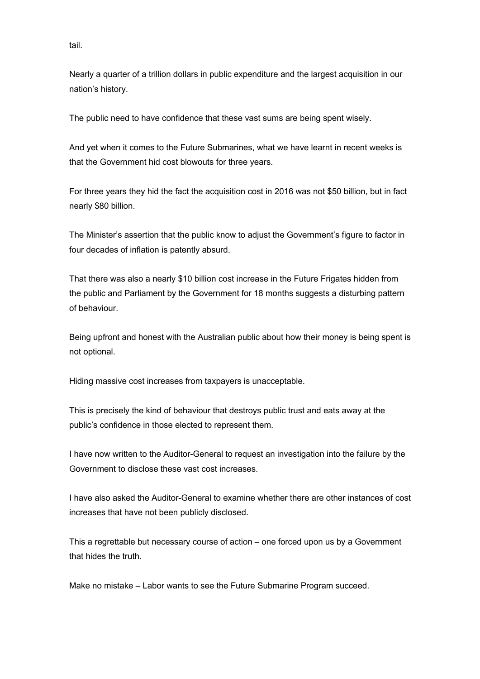tail.

Nearly a quarter of a trillion dollars in public expenditure and the largest acquisition in our nation's history.

The public need to have confidence that these vast sums are being spent wisely.

And yet when it comes to the Future Submarines, what we have learnt in recent weeks is that the Government hid cost blowouts for three years.

For three years they hid the fact the acquisition cost in 2016 was not \$50 billion, but in fact nearly \$80 billion.

The Minister's assertion that the public know to adjust the Government's figure to factor in four decades of inflation is patently absurd.

That there was also a nearly \$10 billion cost increase in the Future Frigates hidden from the public and Parliament by the Government for 18 months suggests a disturbing pattern of behaviour.

Being upfront and honest with the Australian public about how their money is being spent is not optional.

Hiding massive cost increases from taxpayers is unacceptable.

This is precisely the kind of behaviour that destroys public trust and eats away at the public's confidence in those elected to represent them.

I have now written to the Auditor-General to request an investigation into the failure by the Government to disclose these vast cost increases.

I have also asked the Auditor-General to examine whether there are other instances of cost increases that have not been publicly disclosed.

This a regrettable but necessary course of action – one forced upon us by a Government that hides the truth.

Make no mistake – Labor wants to see the Future Submarine Program succeed.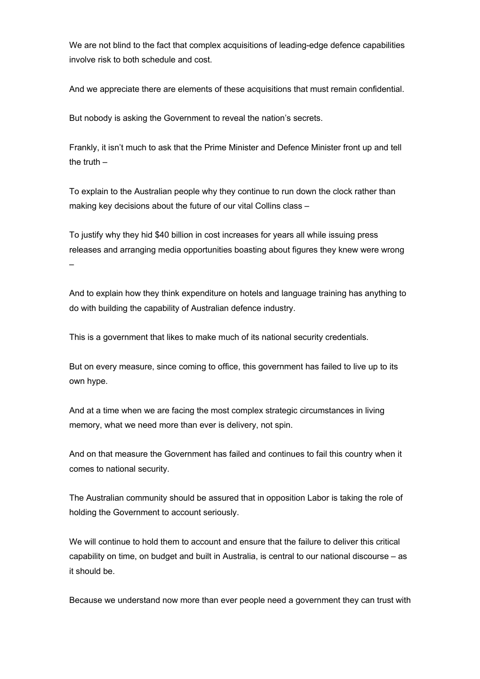We are not blind to the fact that complex acquisitions of leading-edge defence capabilities involve risk to both schedule and cost.

And we appreciate there are elements of these acquisitions that must remain confidential.

But nobody is asking the Government to reveal the nation's secrets.

Frankly, it isn't much to ask that the Prime Minister and Defence Minister front up and tell the truth  $-$ 

To explain to the Australian people why they continue to run down the clock rather than making key decisions about the future of our vital Collins class –

To justify why they hid \$40 billion in cost increases for years all while issuing press releases and arranging media opportunities boasting about figures they knew were wrong –

And to explain how they think expenditure on hotels and language training has anything to do with building the capability of Australian defence industry.

This is a government that likes to make much of its national security credentials.

But on every measure, since coming to office, this government has failed to live up to its own hype.

And at a time when we are facing the most complex strategic circumstances in living memory, what we need more than ever is delivery, not spin.

And on that measure the Government has failed and continues to fail this country when it comes to national security.

The Australian community should be assured that in opposition Labor is taking the role of holding the Government to account seriously.

We will continue to hold them to account and ensure that the failure to deliver this critical capability on time, on budget and built in Australia, is central to our national discourse – as it should be.

Because we understand now more than ever people need a government they can trust with